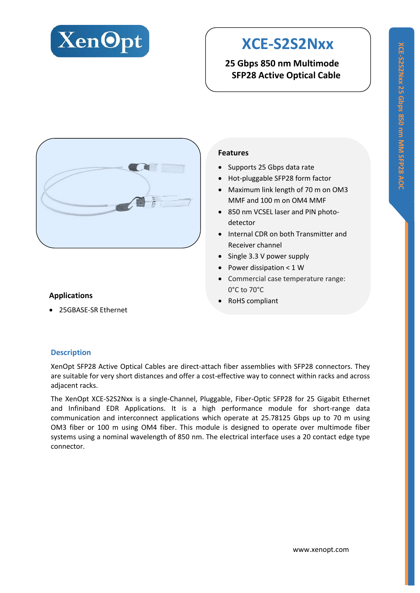

# **XCE-S2S2Nxx**

**25 Gbps 850 nm Multimode SFP28 Active Optical Cable**



### **Applications**

25GBASE-SR Ethernet

#### **Features**

- Supports 25 Gbps data rate
- Hot-pluggable SFP28 form factor
- Maximum link length of 70 m on OM3 MMF and 100 m on OM4 MMF
- 850 nm VCSEL laser and PIN photodetector
- Internal CDR on both Transmitter and Receiver channel
- Single 3.3 V power supply
- Power dissipation  $<$  1 W
- Commercial case temperature range: 0°C to 70°C
- RoHS compliant

### **Description**

XenOpt SFP28 Active Optical Cables are direct-attach fiber assemblies with SFP28 connectors. They are suitable for very short distances and offer a cost-effective way to connect within racks and across adjacent racks.

The XenOpt XCE-S2S2Nxx is a single-Channel, Pluggable, Fiber-Optic SFP28 for 25 Gigabit Ethernet and Infiniband EDR Applications. It is a high performance module for short-range data communication and interconnect applications which operate at 25.78125 Gbps up to 70 m using OM3 fiber or 100 m using OM4 fiber. This module is designed to operate over multimode fiber systems using a nominal wavelength of 850 nm. The electrical interface uses a 20 contact edge type connector.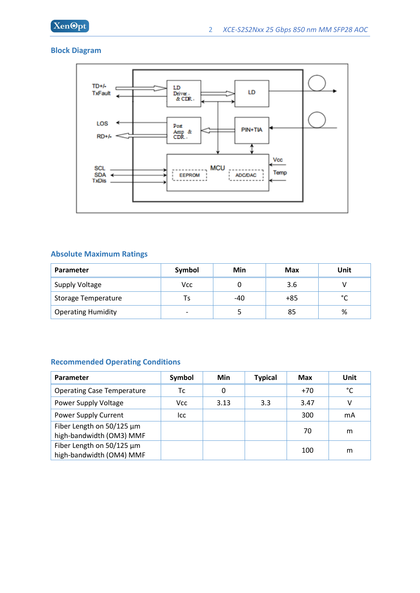

#### **Block Diagram**



#### **Absolute Maximum Ratings**

| <b>Parameter</b>           | Symbol                   | Min | Max   | Unit |
|----------------------------|--------------------------|-----|-------|------|
| Supply Voltage             | Vcc                      |     | 3.6   |      |
| <b>Storage Temperature</b> | Ts                       | -40 | $+85$ | °۴   |
| <b>Operating Humidity</b>  | $\overline{\phantom{0}}$ |     | 85    | %    |

#### **Recommended Operating Conditions**

| <b>Parameter</b>                                      | Symbol | Min  | <b>Typical</b> | Max   | Unit |
|-------------------------------------------------------|--------|------|----------------|-------|------|
| <b>Operating Case Temperature</b>                     | Тc     | 0    |                | $+70$ | °C   |
| Power Supply Voltage                                  | Vcc    | 3.13 | 3.3            | 3.47  | v    |
| Power Supply Current                                  | lcc    |      |                | 300   | mA   |
| Fiber Length on 50/125 µm<br>high-bandwidth (OM3) MMF |        |      |                | 70    | m    |
| Fiber Length on 50/125 µm<br>high-bandwidth (OM4) MMF |        |      |                | 100   | m    |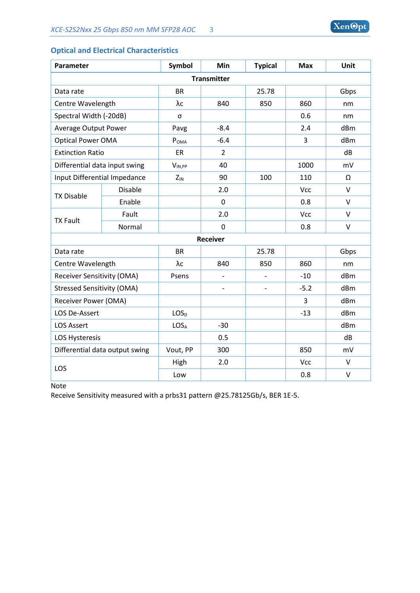| Parameter                         |                | <b>Symbol</b>    | Min            | <b>Typical</b> | <b>Max</b> | Unit            |
|-----------------------------------|----------------|------------------|----------------|----------------|------------|-----------------|
| <b>Transmitter</b>                |                |                  |                |                |            |                 |
|                                   |                |                  |                |                |            |                 |
| Data rate                         |                | <b>BR</b>        |                | 25.78          |            | Gbps            |
| Centre Wavelength                 |                | λc               | 840            | 850            | 860        | nm              |
| Spectral Width (-20dB)            |                | σ                |                |                | 0.6        | nm              |
| <b>Average Output Power</b>       |                | Pavg             | $-8.4$         |                | 2.4        | d <sub>Bm</sub> |
| <b>Optical Power OMA</b>          |                | POMA             | $-6.4$         |                | 3          | dBm             |
| <b>Extinction Ratio</b>           |                | <b>ER</b>        | $\overline{2}$ |                |            | dB              |
| Differential data input swing     |                | $V_{IN,PP}$      | 40             |                | 1000       | mV              |
| Input Differential Impedance      |                | $Z_{IN}$         | 90             | 100            | 110        | Ω               |
|                                   | <b>Disable</b> |                  | 2.0            |                | Vcc        | $\vee$          |
| <b>TX Disable</b>                 | Enable         |                  | $\mathbf 0$    |                | 0.8        | $\vee$          |
| <b>TX Fault</b>                   | Fault          |                  | 2.0            |                | Vcc        | $\vee$          |
|                                   | Normal         |                  | $\mathbf 0$    |                | 0.8        | $\vee$          |
| <b>Receiver</b>                   |                |                  |                |                |            |                 |
| Data rate                         |                | <b>BR</b>        |                | 25.78          |            | Gbps            |
| Centre Wavelength                 |                | λc               | 840            | 850            | 860        | nm              |
| <b>Receiver Sensitivity (OMA)</b> |                | Psens            |                |                | $-10$      | dBm             |
| <b>Stressed Sensitivity (OMA)</b> |                |                  |                |                | $-5.2$     | d <sub>Bm</sub> |
| Receiver Power (OMA)              |                |                  |                |                | 3          | dBm             |
| LOS De-Assert                     |                | LOS <sub>D</sub> |                |                | $-13$      | dBm             |
| <b>LOS Assert</b>                 |                | LOS <sub>A</sub> | $-30$          |                |            | dBm             |
| <b>LOS Hysteresis</b>             |                |                  | 0.5            |                |            | dB              |
| Differential data output swing    |                | Vout, PP         | 300            |                | 850        | mV              |
| LOS                               |                | High             | 2.0            |                | Vcc        | $\vee$          |
|                                   |                | Low              |                |                | 0.8        | $\vee$          |

### **Optical and Electrical Characteristics**

Note

Receive Sensitivity measured with a prbs31 pattern @25.78125Gb/s, BER 1E-5.